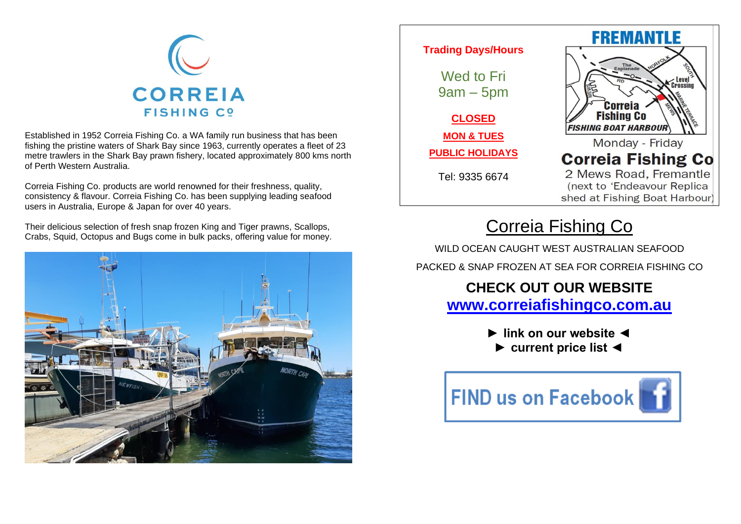

Established in 1952 Correia Fishing Co. a WA family run business that has been fishing the pristine waters of Shark Bay since 1963, currently operates a fleet of 23 metre trawlers in the Shark Bay prawn fishery, located approximately 800 kms north of Perth Western Australia.

Correia Fishing Co. products are world renowned for their freshness, quality, consistency & flavour. Correia Fishing Co. has been supplying leading seafood users in Australia, Europe & Japan for over 40 years.

Their delicious selection of fresh snap frozen King and Tiger prawns, Scallops, Crabs, Squid, Octopus and Bugs come in bulk packs, offering value for money.





## Correia Fishing Co

WILD OCEAN CAUGHT WEST AUSTRALIAN SEAFOOD PACKED & SNAP FROZEN AT SEA FOR CORREIA FISHING CO

## **CHECK OUT OUR WEBSITE [www.correiafishingco.com.au](http://www.correiafishingco.com.au/)**

**► link on our website ◄ ► current price list ◄**